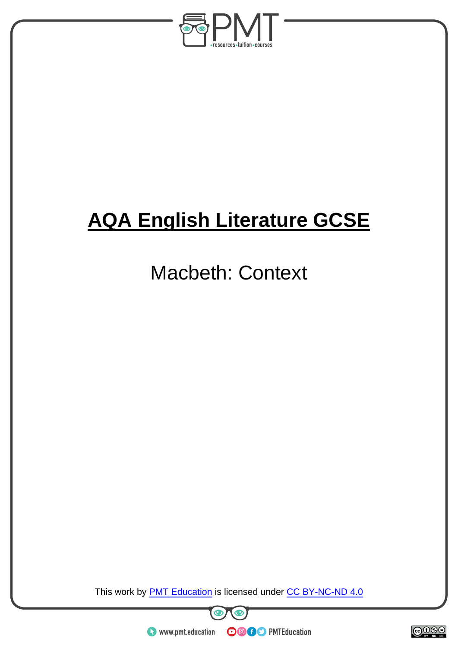

# **AQA English Literature GCSE**

## Macbeth: Context

This work by **PMT Education** is licensed under CC BY-NC-ND 4.0





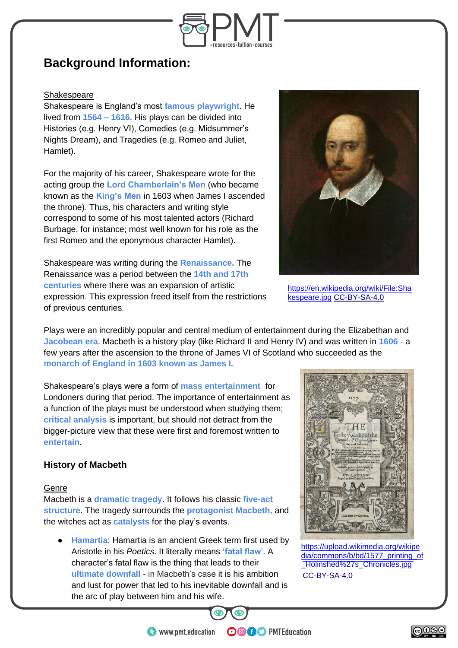

### **Background Information:**

#### **Shakespeare**

Shakespeare is England's most **famous playwright**. He lived from **1564 – 1616.** His plays can be divided into Histories (e.g. Henry VI), Comedies (e.g. Midsummer's Nights Dream), and Tragedies (e.g. Romeo and Juliet, Hamlet).

For the majority of his career, Shakespeare wrote for the acting group the **Lord Chamberlain's Men** (who became known as the **King's Men** in 1603 when James I ascended the throne). Thus, his characters and writing style correspond to some of his most talented actors (Richard Burbage, for instance; most well known for his role as the first Romeo and the eponymous character Hamlet).

Shakespeare was writing during the **Renaissance.** The Renaissance was a period between the **14th and 17th centuries** where there was an expansion of artistic expression. This expression freed itself from the restrictions of previous centuries.

Plays were an incredibly popular and central medium of entertainment during the Elizabethan and **Jacobean era**. Macbeth is a history play (like Richard II and Henry IV) and was written in **1606** - a few years after the ascension to the throne of James VI of Scotland who succeeded as the **monarch of England in 1603 known as James I.**

Shakespeare's plays were a form of **mass entertainment** for Londoners during that period. The importance of entertainment as a function of the plays must be understood when studying them; **critical analysis** is important, but should not detract from the bigger-picture view that these were first and foremost written to **entertain**.

#### **History of Macbeth**

#### Genre

Macbeth is a **dramatic tragedy**. It follows his classic **five-act structure**. The tragedy surrounds the **protagonist Macbeth,** and the witches act as **catalysts** for the play's events.

● **Hamartia**: Hamartia is an ancient Greek term first used by Aristotle in his *Poetics*. It literally means **'fatal flaw**'. A character's fatal flaw is the thing that leads to their **ultimate downfall** - in Macbeth's case it is his ambition and lust for power that led to his inevitable downfall and is the arc of play between him and his wife.



[https://en.wikipedia.org/wiki/File:Sha](https://en.wikipedia.org/wiki/File:Shakespeare.jpg) [kespeare.jpg](https://en.wikipedia.org/wiki/File:Shakespeare.jpg) [CC-BY-SA-4.0](https://commons.wikimedia.org/wiki/Category:CC-BY-SA-4.0)



[https://upload.wikimedia.org/wikipe](https://upload.wikimedia.org/wikipedia/commons/b/bd/1577_printing_of_Holinshed%27s_Chronicles.jpg) [dia/commons/b/bd/1577\\_printing\\_](https://upload.wikimedia.org/wikipedia/commons/b/bd/1577_printing_of_Holinshed%27s_Chronicles.jpg)of [\\_Holinshed%27](https://commons.wikimedia.org/wiki/Category:CC-BY-SA-4.0)s\_Chronicles.jpg CC-BY-SA-4.0



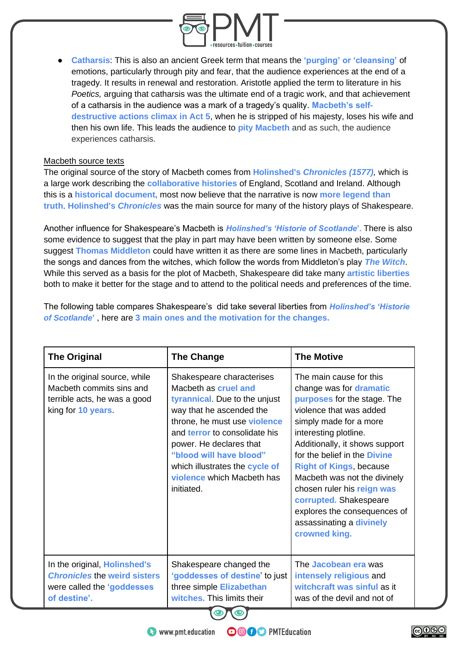

● **Catharsis**: This is also an ancient Greek term that means the **'purging' or 'cleansing'** of emotions, particularly through pity and fear, that the audience experiences at the end of a tragedy. It results in renewal and restoration. Aristotle applied the term to literature in his *Poetics,* arguing that catharsis was the ultimate end of a tragic work, and that achievement of a catharsis in the audience was a mark of a tragedy's quality. **Macbeth's selfdestructive actions climax in Act 5**, when he is stripped of his majesty, loses his wife and then his own life. This leads the audience to **pity Macbeth** and as such, the audience experiences catharsis.

#### Macbeth source texts

The original source of the story of Macbeth comes from **Holinshed's** *Chronicles (1577),* which is a large work describing the **collaborative histories** of England, Scotland and Ireland. Although this is a **historical document,** most now believe that the narrative is now **more legend than truth**. **Holinshed's** *Chronicles* was the main source for many of the history plays of Shakespeare.

Another influence for Shakespeare's Macbeth is *Holinshed's 'Historie of Scotlande***'.** There is also some evidence to suggest that the play in part may have been written by someone else. Some suggest **Thomas Middleton** could have written it as there are some lines in Macbeth, particularly the songs and dances from the witches, which follow the words from Middleton's play *The Witch*. While this served as a basis for the plot of Macbeth, Shakespeare did take many **artistic liberties**  both to make it better for the stage and to attend to the political needs and preferences of the time.

The following table compares Shakespeare's did take several liberties from *Holinshed's 'Historie of Scotlande***'** , here are **3 main ones and the motivation for the changes.**

| <b>The Original</b>                                                                                               | <b>The Change</b>                                                                                                                                                                                                                                                                                                   | <b>The Motive</b>                                                                                                                                                                                                                                                                                                                                                                                                                        |
|-------------------------------------------------------------------------------------------------------------------|---------------------------------------------------------------------------------------------------------------------------------------------------------------------------------------------------------------------------------------------------------------------------------------------------------------------|------------------------------------------------------------------------------------------------------------------------------------------------------------------------------------------------------------------------------------------------------------------------------------------------------------------------------------------------------------------------------------------------------------------------------------------|
| In the original source, while<br>Macbeth commits sins and<br>terrible acts, he was a good<br>king for 10 years.   | Shakespeare characterises<br>Macbeth as cruel and<br>tyrannical. Due to the unjust<br>way that he ascended the<br>throne, he must use violence<br>and terror to consolidate his<br>power. He declares that<br>"blood will have blood"<br>which illustrates the cycle of<br>violence which Macbeth has<br>initiated. | The main cause for this<br>change was for dramatic<br>purposes for the stage. The<br>violence that was added<br>simply made for a more<br>interesting plotline.<br>Additionally, it shows support<br>for the belief in the Divine<br><b>Right of Kings, because</b><br>Macbeth was not the divinely<br>chosen ruler his reign was<br>corrupted. Shakespeare<br>explores the consequences of<br>assassinating a divinely<br>crowned king. |
| In the original, Holinshed's<br><b>Chronicles the weird sisters</b><br>were called the 'goddesses<br>of destine'. | Shakespeare changed the<br>'goddesses of destine' to just<br>three simple Elizabethan<br>witches. This limits their                                                                                                                                                                                                 | The Jacobean era was<br>intensely religious and<br>witchcraft was sinful as it<br>was of the devil and not of                                                                                                                                                                                                                                                                                                                            |

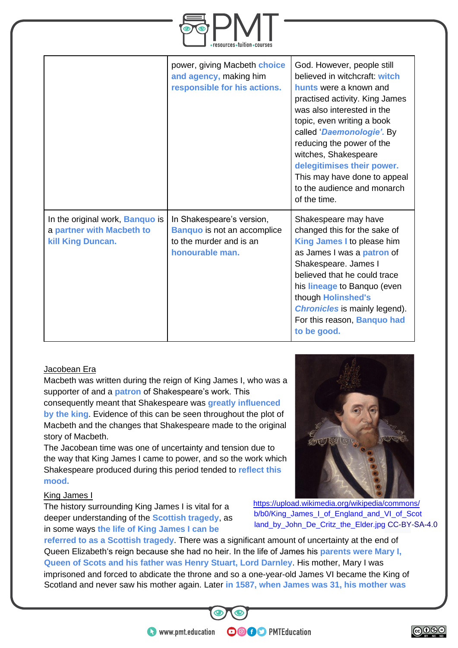

|                                                                                                 | power, giving Macbeth choice<br>and agency, making him<br>responsible for his actions.                        | God. However, people still<br>believed in witchcraft: witch<br>hunts were a known and<br>practised activity. King James<br>was also interested in the<br>topic, even writing a book<br>called 'Daemonologie'. By<br>reducing the power of the<br>witches, Shakespeare<br>delegitimises their power.<br>This may have done to appeal<br>to the audience and monarch<br>of the time. |
|-------------------------------------------------------------------------------------------------|---------------------------------------------------------------------------------------------------------------|------------------------------------------------------------------------------------------------------------------------------------------------------------------------------------------------------------------------------------------------------------------------------------------------------------------------------------------------------------------------------------|
| In the original work, <b>Banquo</b> is<br>a partner with Macbeth to<br><b>kill King Duncan.</b> | In Shakespeare's version,<br><b>Banquo</b> is not an accomplice<br>to the murder and is an<br>honourable man. | Shakespeare may have<br>changed this for the sake of<br>King James I to please him<br>as James I was a <b>patron</b> of<br>Shakespeare. James I<br>believed that he could trace<br>his lineage to Banquo (even<br>though Holinshed's<br><b>Chronicles</b> is mainly legend).<br>For this reason, Banquo had<br>to be good.                                                         |

#### Jacobean Era

Macbeth was written during the reign of King James I, who was a supporter of and a **patron** of Shakespeare's work. This consequently meant that Shakespeare was **greatly influenced by the king**. Evidence of this can be seen throughout the plot of Macbeth and the changes that Shakespeare made to the original story of Macbeth.

The Jacobean time was one of uncertainty and tension due to the way that King James I came to power, and so the work which Shakespeare produced during this period tended to **reflect this mood.**

#### King James I

The history surrounding King James I is vital for a deeper understanding of the **Scottish tragedy**, as in some ways **the life of King James I can be** 

https://upload.wikimedia.org/wikipedia/commons/ [b/b0/King\\_James\\_I\\_of\\_England\\_and\\_VI\\_of\\_Scot](https://upload.wikimedia.org/wikipedia/commons/b/b0/King_James_I_of_England_and_VI_of_Scotland_by_John_De_Critz_the_Elder.jpg) [land\\_by\\_John\\_De\\_Critz\\_the\\_Elder.jpg](https://upload.wikimedia.org/wikipedia/commons/b/b0/King_James_I_of_England_and_VI_of_Scotland_by_John_De_Critz_the_Elder.jpg) [CC-BY-](https://commons.wikimedia.org/wiki/Category:CC-BY-SA-4.0)SA-4.0

imprisoned and forced to abdicate the throne and so a one-year-old James VI became the King of Scotland and never saw his mother again. Later **in 1587, when James was 31, his mother was referred to as a Scottish tragedy**. There was a signifi[cant am](https://commons.wikimedia.org/wiki/Category:CC-BY-SA-4.0)ount of uncertainty at the end of Queen Elizabeth's reign because she had no heir. In the life of James his **parents were Mary I, Queen of Scots and his father was Henry Stuart, Lord Darnley**. His mother, Mary I was

**OOOO** PMTEducation



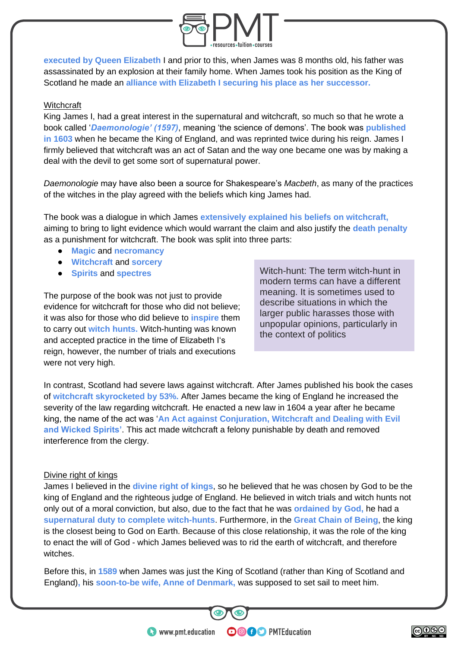

**executed by Queen Elizabeth** I and prior to this, when James was 8 months old, his father was assassinated by an explosion at their family home. When James took his position as the King of Scotland he made an **alliance with Elizabeth I securing his place as her successor.**

#### **Witchcraft**

King James I, had a great interest in the supernatural and witchcraft, so much so that he wrote a book called '*Daemonologie' (1597)*, meaning 'the science of demons'. The book was **published in 1603** when he became the King of England, and was reprinted twice during his reign. James I firmly believed that witchcraft was an act of Satan and the way one became one was by making a deal with the devil to get some sort of supernatural power.

*Daemonologie* may have also been a source for Shakespeare's *Macbeth*, as many of the practices of the witches in the play agreed with the beliefs which king James had.

The book was a dialogue in which James **extensively explained his beliefs on witchcraft,** aiming to bring to light evidence which would warrant the claim and also justify the **death penalty** as a punishment for witchcraft. The book was split into three parts:

- **Magic** and **necromancy**
- **Witchcraft** and **sorcery**
- **Spirits** and **spectres**

The purpose of the book was not just to provide evidence for witchcraft for those who did not believe; it was also for those who did believe to **inspire** them to carry out **witch hunts.** Witch-hunting was known and accepted practice in the time of Elizabeth I's reign, however, the number of trials and executions were not very high.

Witch-hunt: The term witch-hunt in modern terms can have a different meaning. It is sometimes used to describe situations in which the larger public harasses those with unpopular opinions, particularly in the context of politics

In contrast, Scotland had severe laws against witchcraft. After James published his book the cases of **witchcraft skyrocketed by 53%.** After James became the king of England he increased the severity of the law regarding witchcraft. He enacted a new law in 1604 a year after he became king, the name of the act was '**An Act against Conjuration, Witchcraft and Dealing with Evil and Wicked Spirits'**. This act made witchcraft a felony punishable by death and removed interference from the clergy.

#### Divine right of kings

James I believed in the **divine right of kings**, so he believed that he was chosen by God to be the king of England and the righteous judge of England. He believed in witch trials and witch hunts not only out of a moral conviction, but also, due to the fact that he was **ordained by God,** he had a **supernatural duty to complete witch-hunts**. Furthermore, in the **Great Chain of Being**, the king is the closest being to God on Earth. Because of this close relationship, it was the role of the king to enact the will of God - which James believed was to rid the earth of witchcraft, and therefore witches.

Before this, in **1589** when James was just the King of Scotland (rather than King of Scotland and England)**,** his **soon-to-be wife, Anne of Denmark,** was supposed to set sail to meet him.

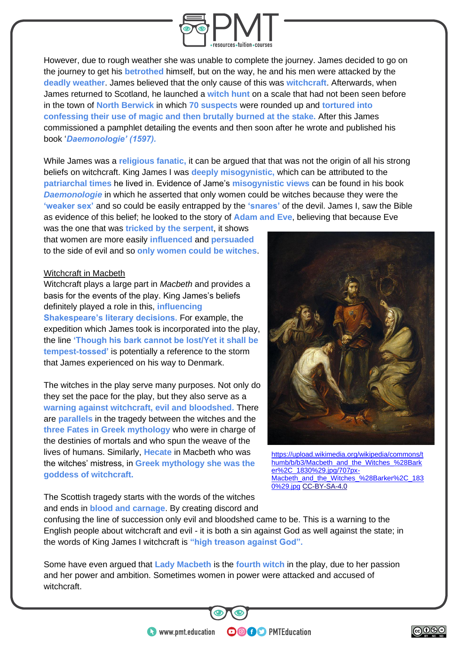

However, due to rough weather she was unable to complete the journey. James decided to go on the journey to get his **betrothed** himself, but on the way, he and his men were attacked by the **deadly weather**. James believed that the only cause of this was **witchcraft**. Afterwards, when James returned to Scotland, he launched a **witch hunt** on a scale that had not been seen before in the town of **North Berwick** in which **70 suspects** were rounded up and **tortured into confessing their use of magic and then brutally burned at the stake.** After this James commissioned a pamphlet detailing the events and then soon after he wrote and published his book '*Daemonologie' (1597).* 

While James was a **religious fanatic,** it can be argued that that was not the origin of all his strong beliefs on witchcraft. King James I was **deeply misogynistic,** which can be attributed to the **patriarchal times** he lived in. Evidence of Jame's **misogynistic views** can be found in his book *Daemonologie* in which he asserted that only women could be witches because they were the **'weaker sex'** and so could be easily entrapped by the **'snares'** of the devil. James I, saw the Bible as evidence of this belief; he looked to the story of **Adam and Eve**, believing that because Eve

was the one that was **tricked by the serpent**, it shows that women are more easily **influenced** and **persuaded**  to the side of evil and so **only women could be witches**.

#### Witchcraft in Macbeth

Witchcraft plays a large part in *Macbeth* and provides a basis for the events of the play. King James's beliefs definitely played a role in this, **influencing Shakespeare's literary decisions.** For example, the expedition which James took is incorporated into the play, the line **'Though his bark cannot be lost/Yet it shall be tempest-tossed'** is potentially a reference to the storm that James experienced on his way to Denmark.

The witches in the play serve many purposes. Not only do they set the pace for the play, but they also serve as a **warning against witchcraft, evil and bloodshed.** There are **parallels** in the tragedy between the witches and the **three Fates in Greek mythology** who were in charge of the destinies of mortals and who spun the weave of the lives of humans. Similarly, **Hecate** in Macbeth who was the witches' mistress, in **Greek mythology she was the goddess of witchcraft.** 

[https://upload.wikimedia.org/wikipedia/commons/t](https://upload.wikimedia.org/wikipedia/commons/thumb/b/b3/Macbeth_and_the_Witches_%28Barker%2C_1830%29.jpg/707px-Macbeth_and_the_Witches_%28Barker%2C_1830%29.jpg) [humb/b/b3/Macbeth\\_and\\_the\\_Witches\\_%28Bark](https://upload.wikimedia.org/wikipedia/commons/thumb/b/b3/Macbeth_and_the_Witches_%28Barker%2C_1830%29.jpg/707px-Macbeth_and_the_Witches_%28Barker%2C_1830%29.jpg) er%2C\_1830%29.jpg/707px-<br>Macheth and the Witches %28Barker%2C\_183 Macbeth\_and\_the<sup>2</sup>Witches [0%29.jpg](https://upload.wikimedia.org/wikipedia/commons/thumb/b/b3/Macbeth_and_the_Witches_%28Barker%2C_1830%29.jpg/707px-Macbeth_and_the_Witches_%28Barker%2C_1830%29.jpg) [CC-BY-SA-4.0](https://commons.wikimedia.org/wiki/Category:CC-BY-SA-4.0)

The Scottish tragedy starts with the words of the witches and ends in **blood and carnage**. By creating discord and

confusing the line of succession only evil and bloodshed came to be. This is a warning to the English people about witchcraft and evil - it is both a sin against God as well against the state; in the words of King James I witchcraft is **"high treason against God".**

Some have even argued that **Lady Macbeth** is the **fourth witch** in the play, due to her passion and her power and ambition. Sometimes women in power were attacked and accused of witchcraft.

**OOOO** PMTEducation

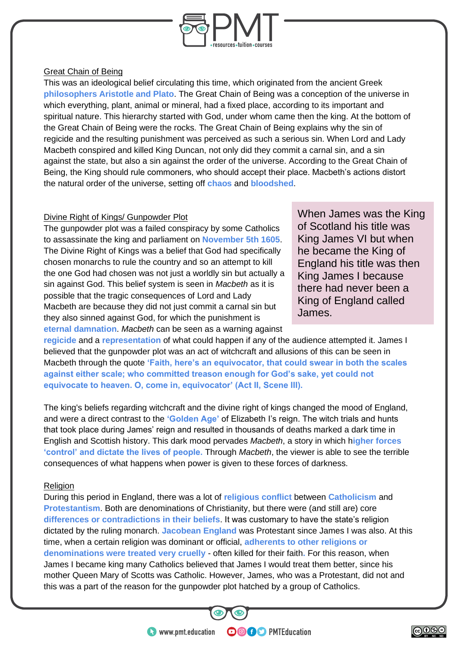

#### Great Chain of Being

This was an ideological belief circulating this time, which originated from the ancient Greek **philosophers Aristotle and Plato**. The Great Chain of Being was a conception of the universe in which everything, plant, animal or mineral, had a fixed place, according to its important and spiritual nature. This hierarchy started with God, under whom came then the king. At the bottom of the Great Chain of Being were the rocks. The Great Chain of Being explains why the sin of regicide and the resulting punishment was perceived as such a serious sin. When Lord and Lady Macbeth conspired and killed King Duncan, not only did they commit a carnal sin, and a sin against the state, but also a sin against the order of the universe. According to the Great Chain of Being, the King should rule commoners, who should accept their place. Macbeth's actions distort the natural order of the universe, setting off **chaos** and **bloodshed**.

#### Divine Right of Kings/ Gunpowder Plot

The gunpowder plot was a failed conspiracy by some Catholics to assassinate the king and parliament on **November 5th 1605**. The Divine Right of Kings was a belief that God had specifically chosen monarchs to rule the country and so an attempt to kill the one God had chosen was not just a worldly sin but actually a sin against God. This belief system is seen in *Macbeth* as it is possible that the tragic consequences of Lord and Lady Macbeth are because they did not just commit a carnal sin but they also sinned against God, for which the punishment is **eternal damnation**. *Macbeth* can be seen as a warning against

When James was the King of Scotland his title was King James VI but when he became the King of England his title was then King James I because there had never been a King of England called James.

**regicide** and a **representation** of what could happen if any of the audience attempted it. James I believed that the gunpowder plot was an act of witchcraft and allusions of this can be seen in Macbeth through the quote **'Faith, here's an equivocator, that could swear in both the scales against either scale; who committed treason enough for God's sake, yet could not equivocate to heaven. O, come in, equivocator' (Act II, Scene III).**

The king's beliefs regarding witchcraft and the divine right of kings changed the mood of England, and were a direct contrast to the **'Golden Age'** of Elizabeth I's reign. The witch trials and hunts that took place during James' reign and resulted in thousands of deaths marked a dark time in English and Scottish history. This dark mood pervades *Macbeth*, a story in which h**igher forces 'control' and dictate the lives of people.** Through *Macbeth*, the viewer is able to see the terrible consequences of what happens when power is given to these forces of darkness.

#### **Religion**

During this period in England, there was a lot of **religious conflict** between **Catholicism** and **Protestantism**. Both are denominations of Christianity, but there were (and still are) core **differences or contradictions in their beliefs**. It was customary to have the state's religion dictated by the ruling monarch. **Jacobean England** was Protestant since James I was also. At this time, when a certain religion was dominant or official, **adherents to other religions or denominations were treated very cruelly** - often killed for their faith**.** For this reason, when James I became king many Catholics believed that James I would treat them better, since his mother Queen Mary of Scotts was Catholic. However, James, who was a Protestant, did not and this was a part of the reason for the gunpowder plot hatched by a group of Catholics.

**OOOO** PMTEducation

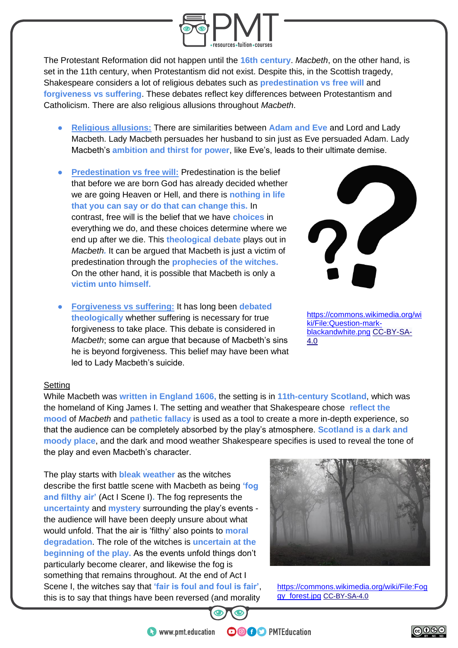

The Protestant Reformation did not happen until the **16th century**. *Macbeth*, on the other hand, is set in the 11th century, when Protestantism did not exist. Despite this, in the Scottish tragedy, Shakespeare considers a lot of religious debates such as **predestination vs free will** and **forgiveness vs suffering**. These debates reflect key differences between Protestantism and Catholicism. There are also religious allusions throughout *Macbeth*.

- **Religious allusions:** There are similarities between **Adam and Eve** and Lord and Lady Macbeth. Lady Macbeth persuades her husband to sin just as Eve persuaded Adam. Lady Macbeth's **ambition and thirst for power**, like Eve's, leads to their ultimate demise.
- **Predestination vs free will: Predestination is the belief** that before we are born God has already decided whether we are going Heaven or Hell, and there is **nothing in life that you can say or do that can change this.** In contrast, free will is the belief that we have **choices** in everything we do, and these choices determine where we end up after we die. This **theological debate** plays out in *Macbeth.* It can be argued that Macbeth is just a victim of predestination through the **prophecies of the witches.** On the other hand, it is possible that Macbeth is only a **victim unto himself.**
- **Forgiveness vs suffering:** It has long been **debated theologically** whether suffering is necessary for true forgiveness to take place. This debate is considered in *Macbeth*; some can argue that because of Macbeth's sins he is beyond forgiveness. This belief may have been what led to Lady Macbeth's suicide.



[https://commons.wikimedia.org/wi](https://commons.wikimedia.org/wiki/File:Question-mark-blackandwhite.png) [ki/File:Question-mark](https://commons.wikimedia.org/wiki/File:Question-mark-blackandwhite.png)[blackandwhite.png](https://commons.wikimedia.org/wiki/File:Question-mark-blackandwhite.png) [CC-BY-SA-](https://commons.wikimedia.org/wiki/Category:CC-BY-SA-4.0)[4.0](https://commons.wikimedia.org/wiki/Category:CC-BY-SA-4.0)

#### **Setting**

While Macbeth was **written in England 1606,** the setting is in **11th-century Scotland**, which was the homeland of King James I. The setting and weather that Shakespeare chose **reflect the mood** of *Macbeth* and **pathetic fallacy** is used as a tool to create a more in-depth experience, so that the audience can be completely absorbed by the play's atmosphere. **Scotland is a dark and moody place**, and the dark and mood weather Shakespeare specifies is used to reveal the tone of the play and even Macbeth's character.

The play starts with **bleak weather** as the witches describe the first battle scene with Macbeth as being **'fog and filthy air'** (Act I Scene I)**.** The fog represents the **uncertainty** and **mystery** surrounding the play's events the audience will have been deeply unsure about what would unfold. That the air is 'filthy' also points to **moral degradation**. The role of the witches is **uncertain at the beginning of the play.** As the events unfold things don't particularly become clearer, and likewise the fog is something that remains throughout. At the end of Act I Scene I, the witches say that **'fair is foul and foul is fair'**, this is to say that things have been reversed (and morality



[https://commons.wikimedia.org/wiki/File:Fog](https://commons.wikimedia.org/wiki/File:Foggy_forest.jpg) [gy\\_forest.jpg](https://commons.wikimedia.org/wiki/File:Foggy_forest.jpg) [CC-BY-SA-4.0](https://commons.wikimedia.org/wiki/Category:CC-BY-SA-4.0)



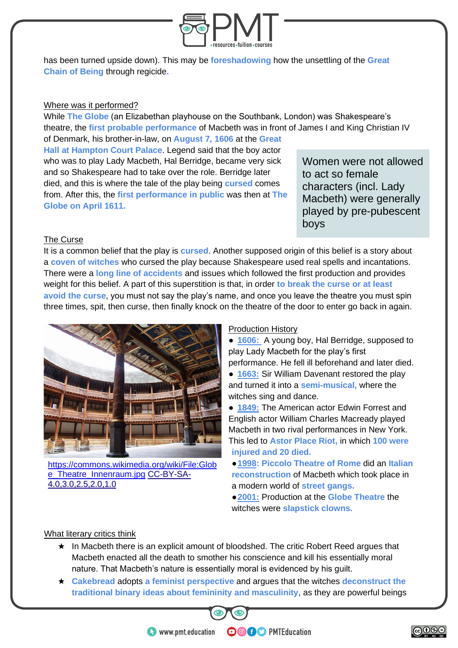

has been turned upside down). This may be **foreshadowing** how the unsettling of the **Great Chain of Being** through regicide**.**

#### Where was it performed?

While **The Globe** (an Elizabethan playhouse on the Southbank, London) was Shakespeare's theatre, the **first probable performance** of Macbeth was in front of James I and King Christian IV

of Denmark, his brother-in-law, on **August 7, 1606** at the **Great Hall at Hampton Court Palace**. Legend said that the boy actor who was to play Lady Macbeth, Hal Berridge, became very sick and so Shakespeare had to take over the role. Berridge later died, and this is where the tale of the play being **cursed** comes from. After this, the **first performance in public** was then at **The Globe on April 1611.**

Women were not allowed to act so female characters (incl. Lady Macbeth) were generally played by pre-pubescent boys

#### The Curse

It is a common belief that the play is **cursed**. Another supposed origin of this belief is a story about a **coven of witches** who cursed the play because Shakespeare used real spells and incantations. There were a **long line of accidents** and issues which followed the first production and provides weight for this belief. A part of this superstition is that, in order **to break the curse or at least avoid the curse**, you must not say the play's name, and once you leave the theatre you must spin three times, spit, then curse, then finally knock on the theatre of the door to enter go back in again.



[https://commons.wikimedia.org/wiki/File:Glob](https://commons.wikimedia.org/wiki/File:Globe_Theatre_Innenraum.jpg) [e\\_Theatre\\_Innenraum.jpg](https://commons.wikimedia.org/wiki/File:Globe_Theatre_Innenraum.jpg) [CC-BY-SA-](https://commons.wikimedia.org/wiki/Category:CC-BY-SA-4.0,3.0,2.5,2.0,1.0)[4.0,3.0,2.5,2.0,1.0](https://commons.wikimedia.org/wiki/Category:CC-BY-SA-4.0,3.0,2.5,2.0,1.0)

#### Production History

● **1606:** A young boy, Hal Berridge, supposed to play Lady Macbeth for the play's first performance. He fell ill beforehand and later died.

• **1663:** Sir William Davenant restored the play and turned it into a **semi-musical,** where the witches sing and dance.

● **1849:** The American actor Edwin Forrest and English actor William Charles Macready played Macbeth in two rival performances in New York. This led to **Astor Place Riot,** in which **100 were injured and 20 died.**

●**1998: Piccolo Theatre of Rome** did an **Italian reconstruction** of Macbeth which took place in a modern world of **street gangs.**

●**2001:** Production at the **Globe Theatre** the witches were **slapstick clowns.**

#### What literary critics think

- ★ In Macbeth there is an explicit amount of bloodshed. The critic Robert Reed argues that Macbeth enacted all the death to smother his conscience and kill his essentially moral nature. That Macbeth's nature is essentially moral is evidenced by his guilt.
- ★ **Cakebread** adopts **a feminist perspective** and argues that the witches **deconstruct the traditional binary ideas about femininity and masculinity**, as they are powerful beings